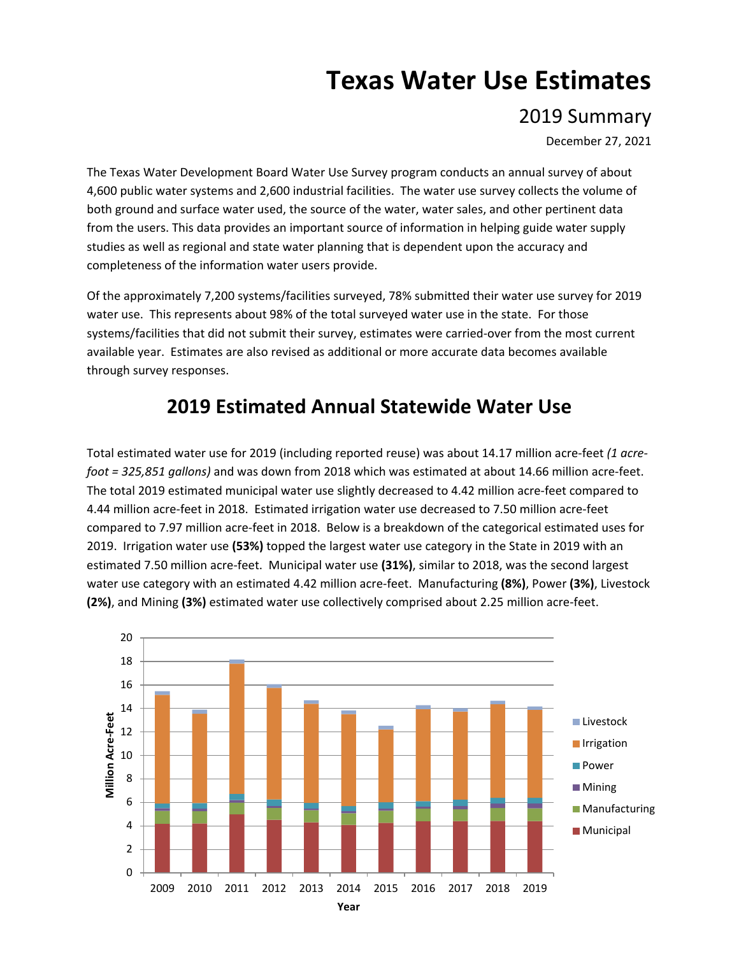## **Texas Water Use Estimates**

2019 Summary

December 27, 2021

The Texas Water Development Board Water Use Survey program conducts an annual survey of about 4,600 public water systems and 2,600 industrial facilities. The water use survey collects the volume of both ground and surface water used, the source of the water, water sales, and other pertinent data from the users. This data provides an important source of information in helping guide water supply studies as well as regional and state water planning that is dependent upon the accuracy and completeness of the information water users provide.

Of the approximately 7,200 systems/facilities surveyed, 78% submitted their water use survey for 2019 water use. This represents about 98% of the total surveyed water use in the state. For those systems/facilities that did not submit their survey, estimates were carried-over from the most current available year. Estimates are also revised as additional or more accurate data becomes available through survey responses.

## **2019 Estimated Annual Statewide Water Use**

Total estimated water use for 2019 (including reported reuse) was about 14.17 million acre-feet *(1 acrefoot = 325,851 gallons)* and was down from 2018 which was estimated at about 14.66 million acre-feet. The total 2019 estimated municipal water use slightly decreased to 4.42 million acre-feet compared to 4.44 million acre-feet in 2018. Estimated irrigation water use decreased to 7.50 million acre-feet compared to 7.97 million acre-feet in 2018. Below is a breakdown of the categorical estimated uses for 2019. Irrigation water use **(53%)** topped the largest water use category in the State in 2019 with an estimated 7.50 million acre-feet. Municipal water use **(31%)**, similar to 2018, was the second largest water use category with an estimated 4.42 million acre-feet. Manufacturing **(8%)**, Power **(3%)**, Livestock **(2%)**, and Mining **(3%)** estimated water use collectively comprised about 2.25 million acre-feet.